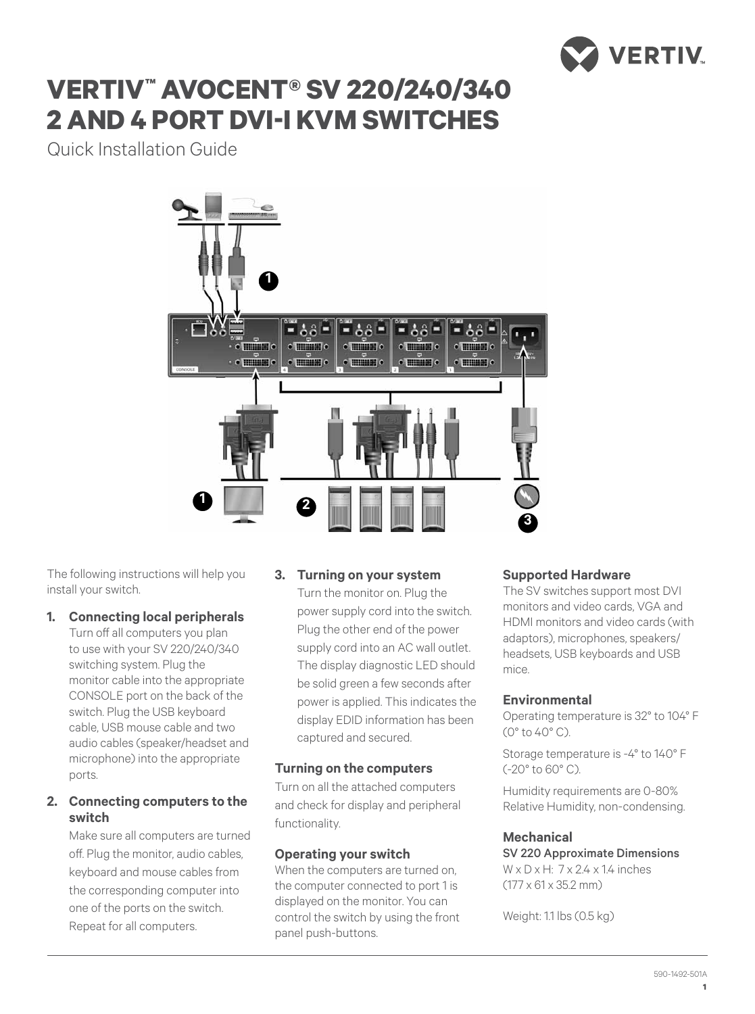

# **vertiv™ avocent® Sv 220/240/340 2 and 4 port dvi-i kvm switches**

Quick Installation Guide



The following instructions will help you install your switch.

## **1. Connecting local peripherals**

Turn off all computers you plan to use with your SV 220/240/340 switching system. Plug the monitor cable into the appropriate CONSOLE port on the back of the switch. Plug the USB keyboard cable, USB mouse cable and two audio cables (speaker/headset and microphone) into the appropriate ports.

## **2. Connecting computers to the switch**

Make sure all computers are turned off. Plug the monitor, audio cables, keyboard and mouse cables from the corresponding computer into one of the ports on the switch. Repeat for all computers.

## **3. Turning on your system**

Turn the monitor on. Plug the power supply cord into the switch. Plug the other end of the power supply cord into an AC wall outlet. The display diagnostic LED should be solid green a few seconds after power is applied. This indicates the display EDID information has been captured and secured.

## **Turning on the computers**

Turn on all the attached computers and check for display and peripheral functionality.

## **Operating your switch**

When the computers are turned on. the computer connected to port 1 is displayed on the monitor. You can control the switch by using the front panel push-buttons.

## **Supported Hardware**

The SV switches support most DVI monitors and video cards, VGA and HDMI monitors and video cards (with adaptors), microphones, speakers/ headsets, USB keyboards and USB mice.

## **Environmental**

Operating temperature is 32° to 104° F (0° to 40° C).

Storage temperature is -4° to 140° F (-20° to 60° C).

Humidity requirements are 0-80% Relative Humidity, non-condensing.

#### **Mechanical**

SV 220 Approximate Dimensions  $W \times D \times H$ :  $7 \times 2.4 \times 1.4$  inches  $(177 \times 61 \times 35.2 \text{ mm})$ 

Weight: 1.1 lbs (0.5 kg)